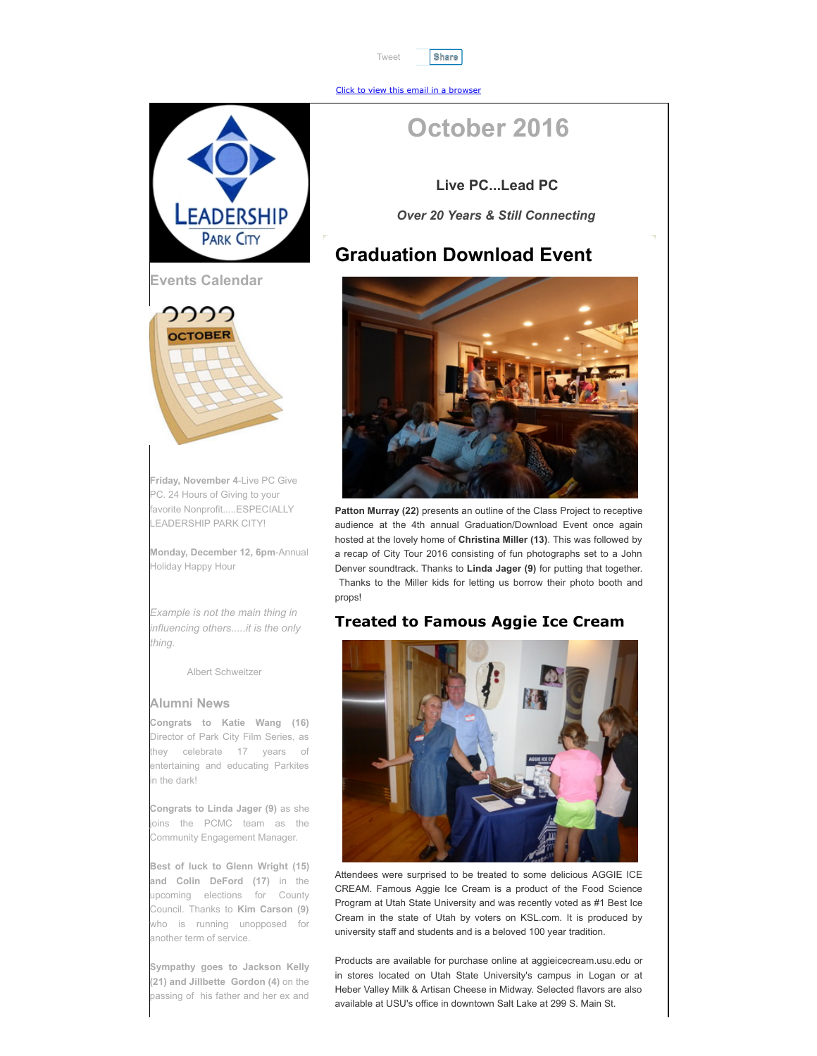

[Click to view this email in a browser](http://hosted.verticalresponse.com/1267529/80533fd928/TEST/TEST/)

# **EADERSHIP PARK CITY**



**Friday, November 4**-Live PC Give PC. 24 Hours of Giving to your favorite Nonprofit.....ESPECIALLY LEADERSHIP PARK CITY!

**Monday, December 12, 6pm**-Annual Holiday Happy Hour

*Example is not the main thing in influencing others.....it is the only thing.*

Albert Schweitzer

#### **Alumni News**

**Congrats to Katie Wang (16)** Director of Park City Film Series, as they celebrate 17 years of entertaining and educating Parkites n the dark!

**Congrats to Linda Jager (9)** as she oins the PCMC team as the Community Engagement Manager.

**Best of luck to Glenn Wright (15) and Colin DeFord (17)** in the upcoming elections for County Council. Thanks to **Kim Carson (9)** who is running unopposed for another term of service.

**Sympathy goes to Jackson Kelly (21) and Jillbette Gordon (4)** on the passing of his father and her ex and

# **October 2016**

**Live PC...Lead PC**

*Over 20 Years & Still Connecting*

### **Graduation Download Event**



**Patton Murray (22)** presents an outline of the Class Project to receptive audience at the 4th annual Graduation/Download Event once again hosted at the lovely home of **Christina Miller (13)**. This was followed by a recap of City Tour 2016 consisting of fun photographs set to a John Denver soundtrack. Thanks to **Linda Jager (9)** for putting that together. Thanks to the Miller kids for letting us borrow their photo booth and props!

#### **Treated to Famous Aggie Ice Cream**



Attendees were surprised to be treated to some delicious AGGIE ICE CREAM. Famous Aggie Ice Cream is a product of the Food Science Program at Utah State University and was recently voted as #1 Best Ice Cream in the state of Utah by voters on KSL.com. It is produced by university staff and students and is a beloved 100 year tradition.

Products are available for purchase online at aggieicecream.usu.edu or in stores located on Utah State University's campus in Logan or at Heber Valley Milk & Artisan Cheese in Midway. Selected flavors are also available at USU's office in downtown Salt Lake at 299 S. Main St.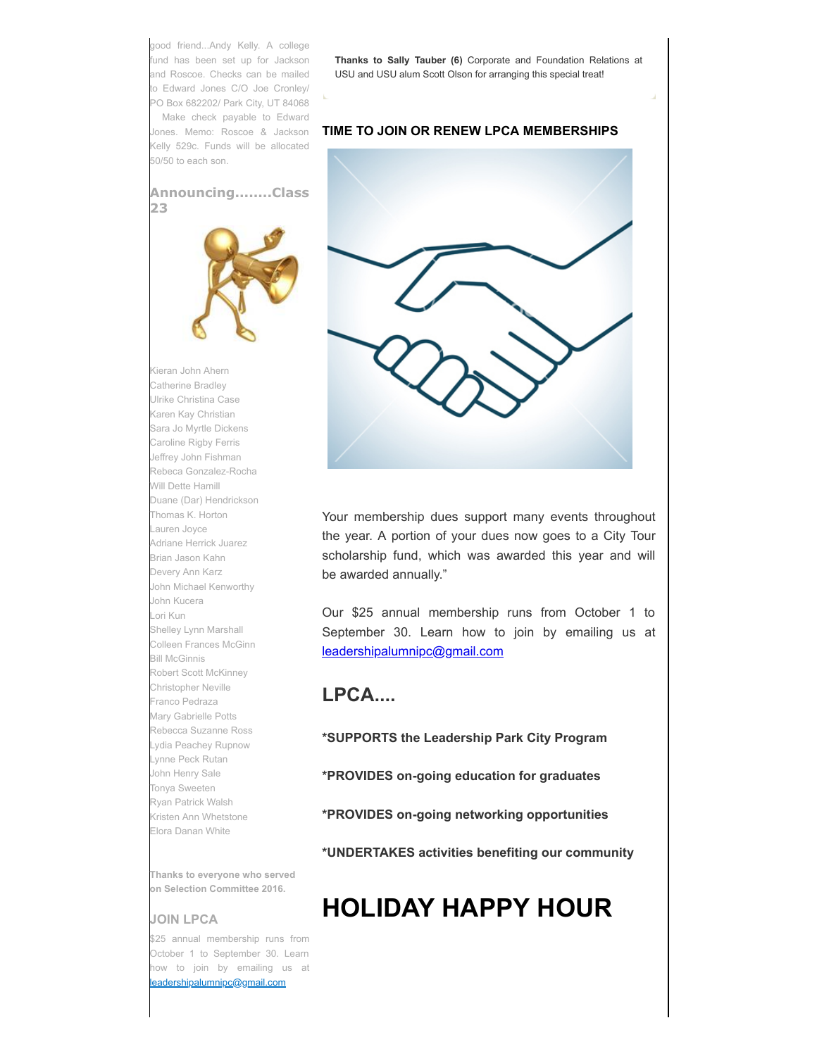good friend...Andy Kelly. A college fund has been set up for Jackson and Roscoe. Checks can be mailed to Edward Jones C/O Joe Cronley/ PO Box 682202/ Park City, UT 84068 Make check payable to Edward Jones. Memo: Roscoe & Jackson Kelly 529c. Funds will be allocated 50/50 to each son.

**Announcing........Class 23**



Kieran John Ahern Catherine Bradley Ulrike Christina Case Karen Kay Christian Sara Jo Myrtle Dickens Caroline Rigby Ferris Jeffrey John Fishman Rebeca Gonzalez-Rocha Will Dette Hamill Duane (Dar) Hendrickson Thomas K. Horton Lauren Joyce Adriane Herrick Juarez Brian Jason Kahn Devery Ann Karz John Michael Kenworthy John Kucera Lori Kun Shelley Lynn Marshall Colleen Frances McGinn Bill McGinnis Robert Scott McKinney Christopher Neville Franco Pedraza Mary Gabrielle Potts Rebecca Suzanne Ross Lydia Peachey Rupnow Lynne Peck Rutan John Henry Sale Tonya Sweeten Ryan Patrick Walsh Kristen Ann Whetstone Elora Danan White

**Thanks to everyone who served on Selection Committee 2016.**

#### **JOIN LPCA**

\$25 annual membership runs from October 1 to September 30. Learn how to join by emailing us at [leadershipalumnipc@gmail.com](mailto:leadershipalumnipc@gmail.com)

**Thanks to Sally Tauber (6)** Corporate and Foundation Relations at USU and USU alum Scott Olson for arranging this special treat!

#### **TIME TO JOIN OR RENEW LPCA MEMBERSHIPS**



Your membership dues support many events throughout the year. A portion of your dues now goes to a City Tour scholarship fund, which was awarded this year and will be awarded annually."

Our \$25 annual membership runs from October 1 to September 30. Learn how to join by emailing us at [leadershipalumnipc@gmail.com](mailto:leadershipalumnipc@gmail.com)

## **LPCA....**

**\*SUPPORTS the Leadership Park City Program**

**\*PROVIDES on-going education for graduates**

**\*PROVIDES on-going networking opportunities**

**\*UNDERTAKES activities benefiting our community**

# **HOLIDAY HAPPY HOUR**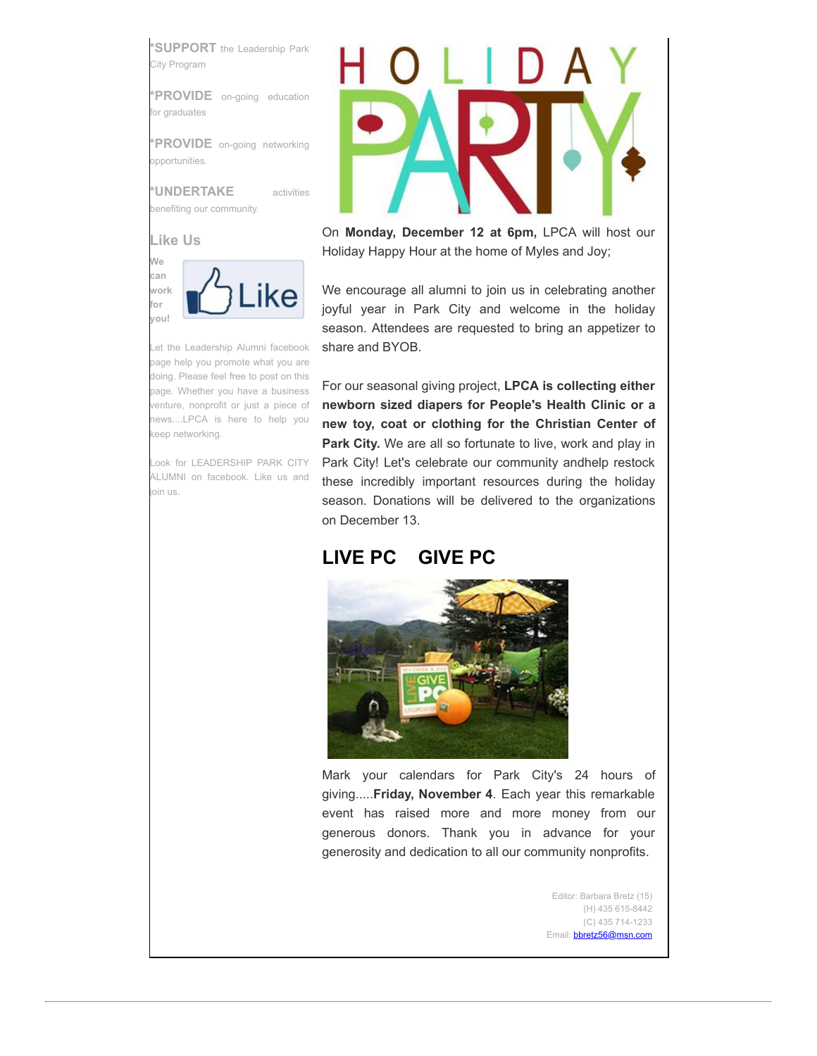**\*SUPPORT** the Leadership Park City Program

**\*PROVIDE** on-going education for graduates

**\*PROVIDE** on-going networking opportunities.

**\*UNDERTAKE** activities benefiting our community.



Let the Leadership Alumni facebook page help you promote what you are doing. Please feel free to post on this page. Whether you have a business venture, nonprofit or just a piece of news....LPCA is here to help you keep networking.

Look for LEADERSHIP PARK CITY ALUMNI on facebook. Like us and join us.



On **Monday, December 12 at 6pm,** LPCA will host our Holiday Happy Hour at the home of Myles and Joy;

We encourage all alumni to join us in celebrating another joyful year in Park City and welcome in the holiday season. Attendees are requested to bring an appetizer to share and BYOB.

For our seasonal giving project, **LPCA is collecting either newborn sized diapers for People's Health Clinic or a new toy, coat or clothing for the Christian Center of Park City.** We are all so fortunate to live, work and play in Park City! Let's celebrate our community andhelp restock these incredibly important resources during the holiday season. Donations will be delivered to the organizations on December 13.

## **LIVE PC GIVE PC**



Mark your calendars for Park City's 24 hours of giving.....**Friday, November 4**. Each year this remarkable event has raised more and more money from our generous donors. Thank you in advance for your generosity and dedication to all our community nonprofits.

> Editor: Barbara Bretz (15) (H) 435 615-8442 (C) 435 714-1233 Email: **[bbretz56@msn.com](mailto:bbretz56@msn.com)**